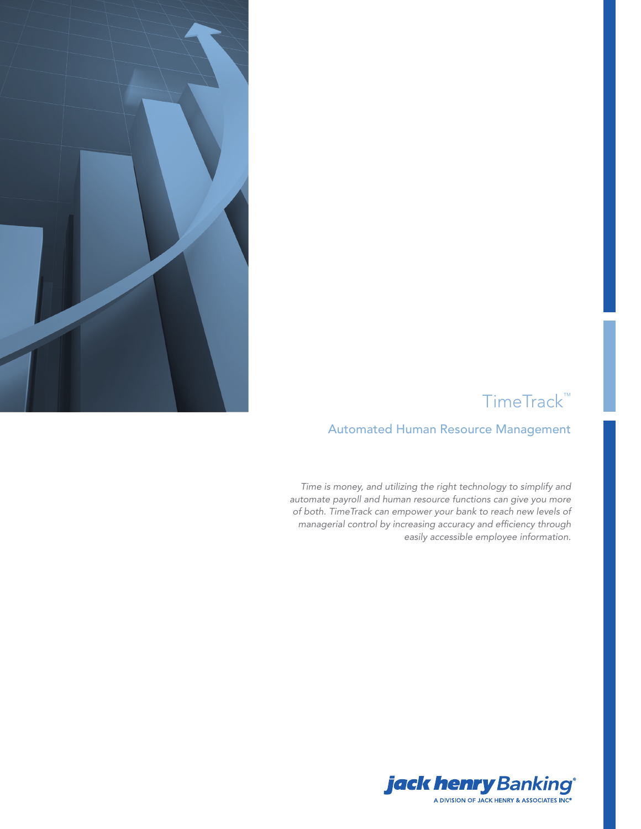

# TimeTrack™

### Automated Human Resource Management

*Time is money, and utilizing the right technology to simplify and automate payroll and human resource functions can give you more of both. TimeTrack can empower your bank to reach new levels of managerial control by increasing accuracy and efficiency through easily accessible employee information.*

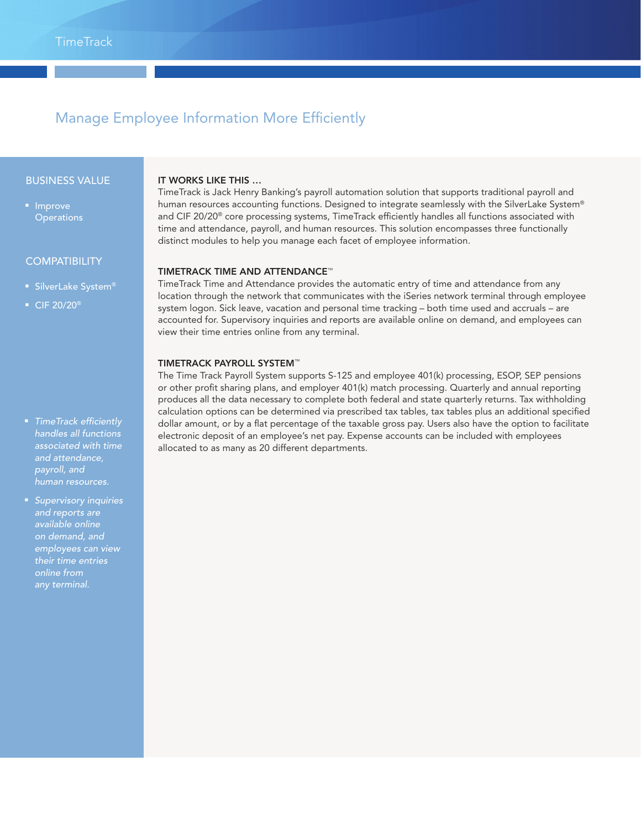## Manage Employee Information More Efficiently

#### BUSINESS VALUE

■ Improve **Operations** 

#### **COMPATIBILITY**

- SilverLake System®
- CIF 20/20<sup>®</sup>

### ■ *TimeTrack efficiently handles all functions associated with time and attendance, payroll, and*

■ *Supervisory inquiries and reports are available online on demand, and employees can view their time entries online from any terminal.*

#### IT WORKS LIKE THIS …

TimeTrack is Jack Henry Banking's payroll automation solution that supports traditional payroll and human resources accounting functions. Designed to integrate seamlessly with the SilverLake System® and CIF 20/20® core processing systems, TimeTrack efficiently handles all functions associated with time and attendance, payroll, and human resources. This solution encompasses three functionally distinct modules to help you manage each facet of employee information.

#### TIMETRACK TIME AND ATTENDANCE™

TimeTrack Time and Attendance provides the automatic entry of time and attendance from any location through the network that communicates with the iSeries network terminal through employee system logon. Sick leave, vacation and personal time tracking – both time used and accruals – are accounted for. Supervisory inquiries and reports are available online on demand, and employees can view their time entries online from any terminal.

#### TIMETRACK PAYROLL SYSTEM™

The Time Track Payroll System supports S-125 and employee 401(k) processing, ESOP, SEP pensions or other profit sharing plans, and employer 401(k) match processing. Quarterly and annual reporting produces all the data necessary to complete both federal and state quarterly returns. Tax withholding calculation options can be determined via prescribed tax tables, tax tables plus an additional specified dollar amount, or by a flat percentage of the taxable gross pay. Users also have the option to facilitate electronic deposit of an employee's net pay. Expense accounts can be included with employees allocated to as many as 20 different departments.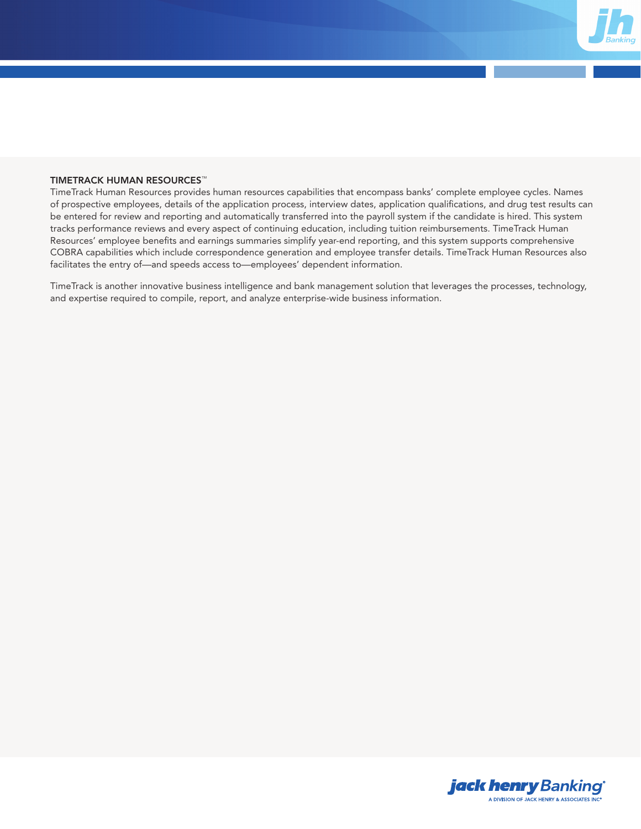

#### TIMETRACK HUMAN RESOURCES™

TimeTrack Human Resources provides human resources capabilities that encompass banks' complete employee cycles. Names of prospective employees, details of the application process, interview dates, application qualifications, and drug test results can be entered for review and reporting and automatically transferred into the payroll system if the candidate is hired. This system tracks performance reviews and every aspect of continuing education, including tuition reimbursements. TimeTrack Human Resources' employee benefits and earnings summaries simplify year-end reporting, and this system supports comprehensive COBRA capabilities which include correspondence generation and employee transfer details. TimeTrack Human Resources also facilitates the entry of—and speeds access to—employees' dependent information.

TimeTrack is another innovative business intelligence and bank management solution that leverages the processes, technology, and expertise required to compile, report, and analyze enterprise-wide business information.